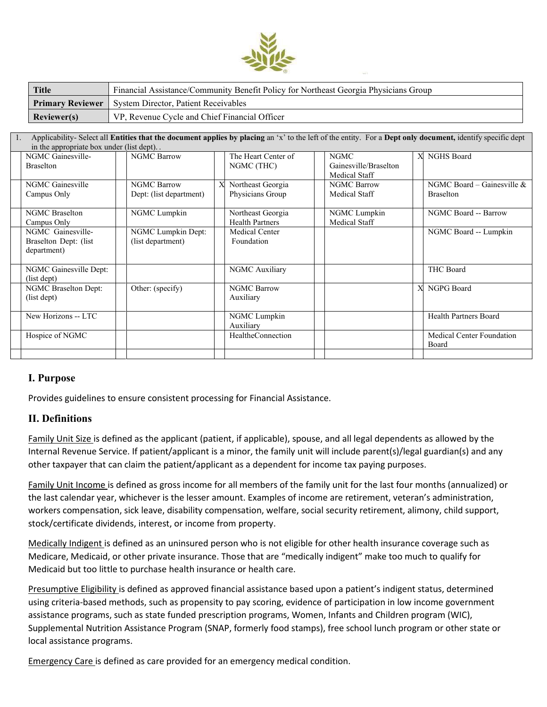

| <b>Title</b>       | Financial Assistance/Community Benefit Policy for Northeast Georgia Physicians Group |
|--------------------|--------------------------------------------------------------------------------------|
|                    | <b>Primary Reviewer</b>   System Director, Patient Receivables                       |
| <b>Reviewer(s)</b> | VP, Revenue Cycle and Chief Financial Officer                                        |

| Applicability- Select all Entities that the document applies by placing an 'x' to the left of the entity. For a Dept only document, identify specific dept<br>in the appropriate box under (list dept) |                                                           |                                               |   |                                             |  |                                                       |   |                                                  |  |  |
|--------------------------------------------------------------------------------------------------------------------------------------------------------------------------------------------------------|-----------------------------------------------------------|-----------------------------------------------|---|---------------------------------------------|--|-------------------------------------------------------|---|--------------------------------------------------|--|--|
|                                                                                                                                                                                                        | NGMC Gainesville-<br><b>Braselton</b>                     | <b>NGMC Barrow</b>                            |   | The Heart Center of<br>NGMC (THC)           |  | <b>NGMC</b><br>Gainesville/Braselton<br>Medical Staff |   | <b>NGHS</b> Board                                |  |  |
|                                                                                                                                                                                                        | NGMC Gainesville<br>Campus Only                           | <b>NGMC Barrow</b><br>Dept: (list department) | X | Northeast Georgia<br>Physicians Group       |  | <b>NGMC Barrow</b><br>Medical Staff                   |   | NGMC Board – Gainesville $&$<br><b>Braselton</b> |  |  |
|                                                                                                                                                                                                        | <b>NGMC</b> Braselton<br>Campus Only                      | NGMC Lumpkin                                  |   | Northeast Georgia<br><b>Health Partners</b> |  | NGMC Lumpkin<br>Medical Staff                         |   | NGMC Board -- Barrow                             |  |  |
|                                                                                                                                                                                                        | NGMC Gainesville-<br>Braselton Dept: (list<br>department) | NGMC Lumpkin Dept:<br>(list department)       |   | Medical Center<br>Foundation                |  |                                                       |   | NGMC Board -- Lumpkin                            |  |  |
|                                                                                                                                                                                                        | NGMC Gainesville Dept:<br>(list dept)                     |                                               |   | NGMC Auxiliary                              |  |                                                       |   | <b>THC Board</b>                                 |  |  |
|                                                                                                                                                                                                        | NGMC Braselton Dept:<br>(list dept)                       | Other: (specify)                              |   | <b>NGMC Barrow</b><br>Auxiliary             |  |                                                       | X | NGPG Board                                       |  |  |
|                                                                                                                                                                                                        | New Horizons -- LTC                                       |                                               |   | NGMC Lumpkin<br>Auxiliary                   |  |                                                       |   | Health Partners Board                            |  |  |
|                                                                                                                                                                                                        | Hospice of NGMC                                           |                                               |   | <b>HealtheConnection</b>                    |  |                                                       |   | Medical Center Foundation<br><b>Board</b>        |  |  |
|                                                                                                                                                                                                        |                                                           |                                               |   |                                             |  |                                                       |   |                                                  |  |  |

# **I. Purpose**

Provides guidelines to ensure consistent processing for Financial Assistance.

# **II. Definitions**

Family Unit Size is defined as the applicant (patient, if applicable), spouse, and all legal dependents as allowed by the Internal Revenue Service. If patient/applicant is a minor, the family unit will include parent(s)/legal guardian(s) and any other taxpayer that can claim the patient/applicant as a dependent for income tax paying purposes.

Family Unit Income is defined as gross income for all members of the family unit for the last four months (annualized) or the last calendar year, whichever is the lesser amount. Examples of income are retirement, veteran's administration, workers compensation, sick leave, disability compensation, welfare, social security retirement, alimony, child support, stock/certificate dividends, interest, or income from property.

Medically Indigent is defined as an uninsured person who is not eligible for other health insurance coverage such as Medicare, Medicaid, or other private insurance. Those that are "medically indigent" make too much to qualify for Medicaid but too little to purchase health insurance or health care.

Presumptive Eligibility is defined as approved financial assistance based upon a patient's indigent status, determined using criteria-based methods, such as propensity to pay scoring, evidence of participation in low income government assistance programs, such as state funded prescription programs, Women, Infants and Children program (WIC), Supplemental Nutrition Assistance Program (SNAP, formerly food stamps), free school lunch program or other state or local assistance programs.

Emergency Care is defined as care provided for an emergency medical condition.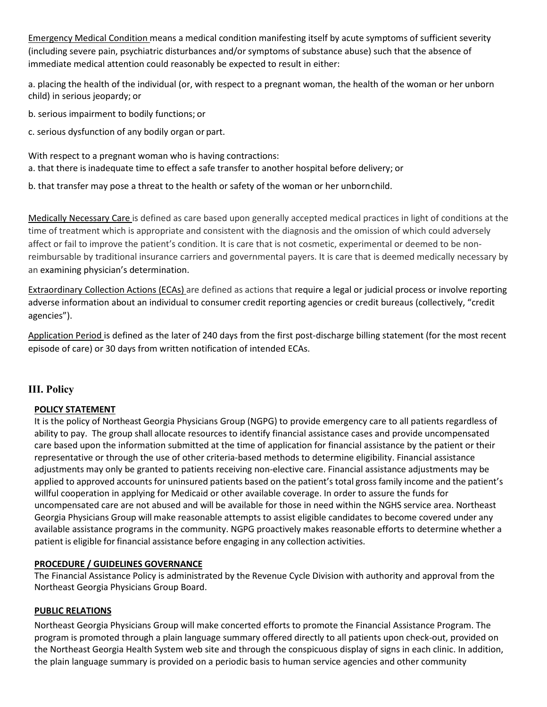Emergency Medical Condition means a medical condition manifesting itself by acute symptoms of sufficient severity (including severe pain, psychiatric disturbances and/or symptoms of substance abuse) such that the absence of immediate medical attention could reasonably be expected to result in either:

a. placing the health of the individual (or, with respect to a pregnant woman, the health of the woman or her unborn child) in serious jeopardy; or

- b. serious impairment to bodily functions; or
- c. serious dysfunction of any bodily organ or part.

With respect to a pregnant woman who is having contractions: a. that there is inadequate time to effect a safe transfer to another hospital before delivery; or

b. that transfer may pose a threat to the health or safety of the woman or her unbornchild.

Medically Necessary Care is defined as care based upon generally accepted medical practices in light of conditions at the time of treatment which is appropriate and consistent with the diagnosis and the omission of which could adversely affect or fail to improve the patient's condition. It is care that is not cosmetic, experimental or deemed to be nonreimbursable by traditional insurance carriers and governmental payers. It is care that is deemed medically necessary by an examining physician's determination.

Extraordinary Collection Actions (ECAs) are defined as actions that require a legal or judicial process or involve reporting adverse information about an individual to consumer credit reporting agencies or credit bureaus (collectively, "credit agencies").

Application Period is defined as the later of 240 days from the first post-discharge billing statement (for the most recent episode of care) or 30 days from written notification of intended ECAs.

# **III. Policy**

# **POLICY STATEMENT**

It is the policy of Northeast Georgia Physicians Group (NGPG) to provide emergency care to all patients regardless of ability to pay. The group shall allocate resources to identify financial assistance cases and provide uncompensated care based upon the information submitted at the time of application for financial assistance by the patient or their representative or through the use of other criteria-based methods to determine eligibility. Financial assistance adjustments may only be granted to patients receiving non-elective care. Financial assistance adjustments may be applied to approved accounts for uninsured patients based on the patient's total gross family income and the patient's willful cooperation in applying for Medicaid or other available coverage. In order to assure the funds for uncompensated care are not abused and will be available for those in need within the NGHS service area. Northeast Georgia Physicians Group will make reasonable attempts to assist eligible candidates to become covered under any available assistance programs in the community. NGPG proactively makes reasonable efforts to determine whether a patient is eligible forfinancial assistance before engaging in any collection activities.

#### **PROCEDURE / GUIDELINES GOVERNANCE**

The Financial Assistance Policy is administrated by the Revenue Cycle Division with authority and approval from the Northeast Georgia Physicians Group Board.

#### **PUBLIC RELATIONS**

Northeast Georgia Physicians Group will make concerted efforts to promote the Financial Assistance Program. The program is promoted through a plain language summary offered directly to all patients upon check-out, provided on the Northeast Georgia Health System web site and through the conspicuous display of signs in each clinic. In addition, the plain language summary is provided on a periodic basis to human service agencies and other community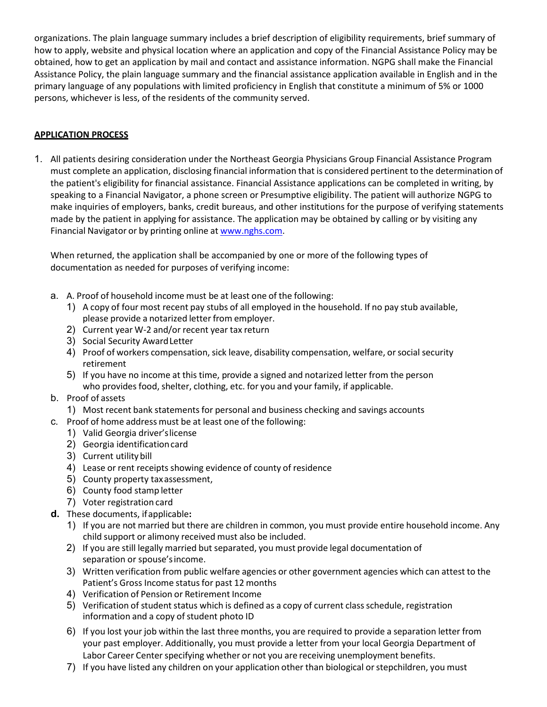organizations. The plain language summary includes a brief description of eligibility requirements, brief summary of how to apply, website and physical location where an application and copy of the Financial Assistance Policy may be obtained, how to get an application by mail and contact and assistance information. NGPG shall make the Financial Assistance Policy, the plain language summary and the financial assistance application available in English and in the primary language of any populations with limited proficiency in English that constitute a minimum of 5% or 1000 persons, whichever is less, of the residents of the community served.

# **APPLICATION PROCESS**

1. All patients desiring consideration under the Northeast Georgia Physicians Group Financial Assistance Program must complete an application, disclosing financial information that is considered pertinent to the determination of the patient's eligibility for financial assistance. Financial Assistance applications can be completed in writing, by speaking to a Financial Navigator, a phone screen or Presumptive eligibility. The patient will authorize NGPG to make inquiries of employers, banks, credit bureaus, and other institutions for the purpose of verifying statements made by the patient in applying for assistance. The application may be obtained by calling or by visiting any Financial Navigator or by printing online at [www.nghs.com.](http://www.nghs.com/)

When returned, the application shall be accompanied by one or more of the following types of documentation as needed for purposes of verifying income:

- a. A. Proof of household income must be at least one of the following:
	- 1) A copy of four most recent pay stubs of all employed in the household. If no pay stub available, please provide a notarized letter from employer.
	- 2) Current year W-2 and/or recent year tax return
	- 3) Social Security AwardLetter
	- 4) Proof of workers compensation, sick leave, disability compensation, welfare, or social security retirement
	- 5) If you have no income at this time, provide a signed and notarized letter from the person who provides food, shelter, clothing, etc. for you and your family, if applicable.
- b. Proof of assets
- 1) Most recent bank statements for personal and business checking and savings accounts
- c. Proof of home address must be at least one of the following:
	- 1) Valid Georgia driver'slicense
	- 2) Georgia identificationcard
	- 3) Current utility bill
	- 4) Lease or rent receipts showing evidence of county of residence
	- 5) County property taxassessment,
	- 6) County food stamp letter
	- 7) Voter registration card
- **d.** These documents, ifapplicable**:**
	- 1) If you are not married but there are children in common, you must provide entire household income. Any child support or alimony received must also be included.
	- 2) If you are still legally married but separated, you must provide legal documentation of separation or spouse'sincome.
	- 3) Written verification from public welfare agencies or other government agencies which can attest to the Patient's Gross Income status for past 12 months
	- 4) Verification of Pension or Retirement Income
	- 5) Verification of student status which is defined as a copy of current class schedule, registration information and a copy of student photo ID
	- 6) If you lost your job within the last three months, you are required to provide a separation letter from your past employer. Additionally, you must provide a letter from your local Georgia Department of Labor Career Center specifying whether or not you are receiving unemployment benefits.
	- 7) If you have listed any children on your application other than biological orstepchildren, you must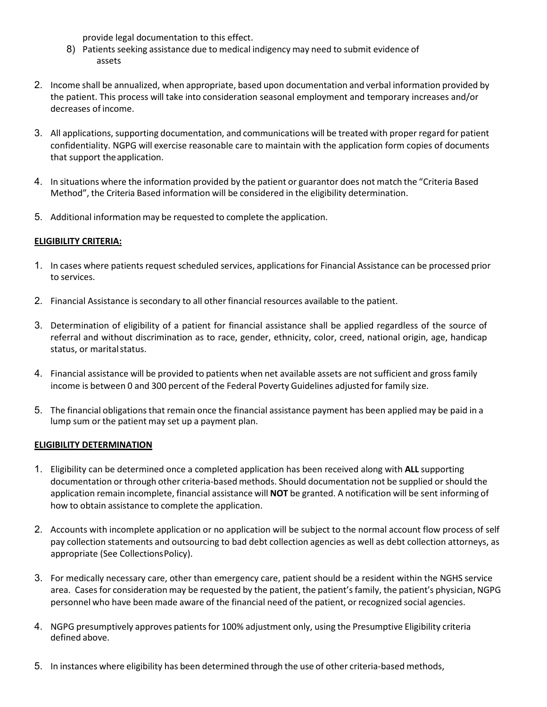provide legal documentation to this effect.

- 8) Patients seeking assistance due to medical indigency may need to submit evidence of assets
- 2. Income shall be annualized, when appropriate, based upon documentation and verbal information provided by the patient. This process will take into consideration seasonal employment and temporary increases and/or decreases of income.
- 3. All applications, supporting documentation, and communications will be treated with proper regard for patient confidentiality. NGPG will exercise reasonable care to maintain with the application form copies of documents that support theapplication.
- 4. In situations where the information provided by the patient or guarantor does not match the "Criteria Based Method", the Criteria Based information will be considered in the eligibility determination.
- 5. Additional information may be requested to complete the application.

# **ELIGIBILITY CRITERIA:**

- 1. In cases where patients request scheduled services, applicationsfor Financial Assistance can be processed prior to services.
- 2. Financial Assistance is secondary to all other financial resources available to the patient.
- 3. Determination of eligibility of a patient for financial assistance shall be applied regardless of the source of referral and without discrimination as to race, gender, ethnicity, color, creed, national origin, age, handicap status, or marital status.
- 4. Financial assistance will be provided to patients when net available assets are notsufficient and gross family income is between 0 and 300 percent of the Federal Poverty Guidelines adjusted for family size.
- 5. The financial obligationsthat remain once the financial assistance payment has been applied may be paid in a lump sum or the patient may set up a payment plan.

#### **ELIGIBILITY DETERMINATION**

- 1. Eligibility can be determined once a completed application has been received along with **ALL** supporting documentation or through other criteria-based methods. Should documentation not be supplied or should the application remain incomplete, financial assistance will **NOT** be granted. A notification will be sent informing of how to obtain assistance to complete the application.
- 2. Accounts with incomplete application or no application will be subject to the normal account flow process of self pay collection statements and outsourcing to bad debt collection agencies as well as debt collection attorneys, as appropriate (See CollectionsPolicy).
- 3. For medically necessary care, other than emergency care, patient should be a resident within the NGHS service area. Cases for consideration may be requested by the patient, the patient's family, the patient's physician, NGPG personnel who have been made aware of the financial need of the patient, or recognized social agencies.
- 4. NGPG presumptively approves patientsfor 100% adjustment only, using the Presumptive Eligibility criteria defined above.
- 5. In instances where eligibility has been determined through the use of other criteria-based methods,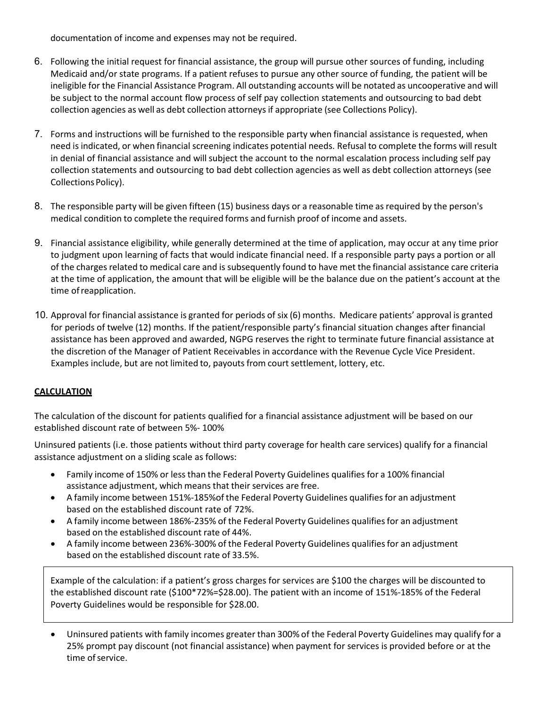documentation of income and expenses may not be required.

- 6. Following the initial request for financial assistance, the group will pursue other sources of funding, including Medicaid and/or state programs. If a patient refuses to pursue any other source of funding, the patient will be ineligible for the Financial Assistance Program. All outstanding accounts will be notated as uncooperative and will be subject to the normal account flow process of self pay collection statements and outsourcing to bad debt collection agencies as well as debt collection attorneys if appropriate (see Collections Policy).
- 7. Forms and instructions will be furnished to the responsible party when financial assistance is requested, when need is indicated, or when financial screening indicates potential needs. Refusal to complete the forms will result in denial of financial assistance and will subject the account to the normal escalation process including self pay collection statements and outsourcing to bad debt collection agencies as well as debt collection attorneys (see Collections Policy).
- 8. The responsible party will be given fifteen (15) business days or a reasonable time as required by the person's medical condition to complete the required forms and furnish proof of income and assets.
- 9. Financial assistance eligibility, while generally determined at the time of application, may occur at any time prior to judgment upon learning of facts that would indicate financial need. If a responsible party pays a portion or all of the charges related to medical care and is subsequently found to have met the financial assistance care criteria at the time of application, the amount that will be eligible will be the balance due on the patient's account at the time ofreapplication.
- 10. Approval for financial assistance is granted for periods of six (6) months. Medicare patients' approval is granted for periods of twelve (12) months. If the patient/responsible party's financial situation changes after financial assistance has been approved and awarded, NGPG reserves the right to terminate future financial assistance at the discretion of the Manager of Patient Receivables in accordance with the Revenue Cycle Vice President. Examples include, but are not limited to, payouts from court settlement, lottery, etc.

# **CALCULATION**

The calculation of the discount for patients qualified for a financial assistance adjustment will be based on our established discount rate of between 5%- 100%

Uninsured patients (i.e. those patients without third party coverage for health care services) qualify for a financial assistance adjustment on a sliding scale as follows:

- Family income of 150% or less than the Federal Poverty Guidelines qualifies for a 100% financial assistance adjustment, which means that their services are free.
- A family income between 151%-185% of the Federal Poverty Guidelines qualifies for an adjustment based on the established discount rate of 72%.
- A family income between 186%-235% of the Federal Poverty Guidelines qualifies for an adjustment based on the established discount rate of 44%.
- A family income between 236%-300% of the Federal Poverty Guidelines qualifies for an adjustment based on the established discount rate of 33.5%.

Example of the calculation: if a patient's gross charges for services are \$100 the charges will be discounted to the established discount rate (\$100\*72%=\$28.00). The patient with an income of 151%-185% of the Federal Poverty Guidelines would be responsible for \$28.00.

• Uninsured patients with family incomes greater than 300% of the Federal Poverty Guidelines may qualify for a 25% prompt pay discount (not financial assistance) when payment for services is provided before or at the time of service.